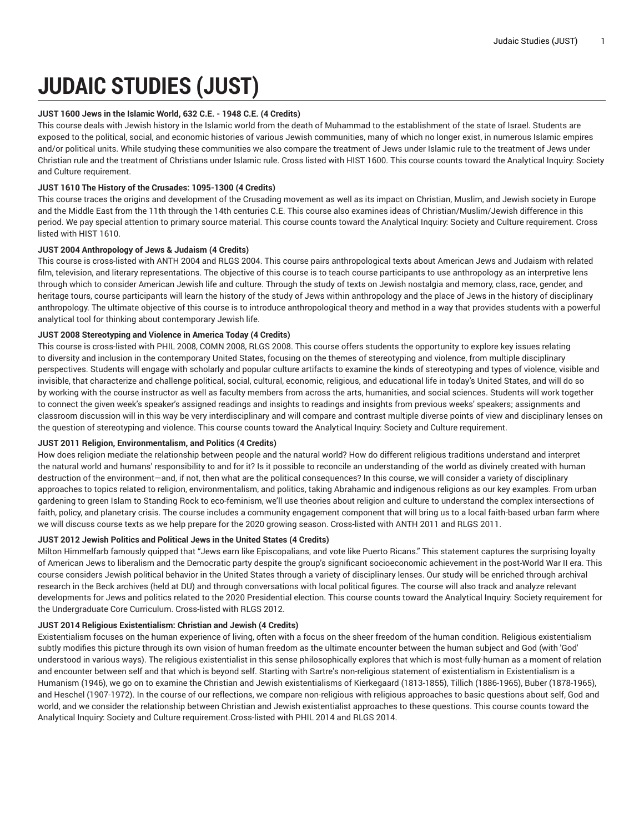# **JUDAIC STUDIES (JUST)**

## **JUST 1600 Jews in the Islamic World, 632 C.E. - 1948 C.E. (4 Credits)**

This course deals with Jewish history in the Islamic world from the death of Muhammad to the establishment of the state of Israel. Students are exposed to the political, social, and economic histories of various Jewish communities, many of which no longer exist, in numerous Islamic empires and/or political units. While studying these communities we also compare the treatment of Jews under Islamic rule to the treatment of Jews under Christian rule and the treatment of Christians under Islamic rule. Cross listed with HIST 1600. This course counts toward the Analytical Inquiry: Society and Culture requirement.

## **JUST 1610 The History of the Crusades: 1095-1300 (4 Credits)**

This course traces the origins and development of the Crusading movement as well as its impact on Christian, Muslim, and Jewish society in Europe and the Middle East from the 11th through the 14th centuries C.E. This course also examines ideas of Christian/Muslim/Jewish difference in this period. We pay special attention to primary source material. This course counts toward the Analytical Inquiry: Society and Culture requirement. Cross listed with HIST 1610.

## **JUST 2004 Anthropology of Jews & Judaism (4 Credits)**

This course is cross-listed with ANTH 2004 and RLGS 2004. This course pairs anthropological texts about American Jews and Judaism with related film, television, and literary representations. The objective of this course is to teach course participants to use anthropology as an interpretive lens through which to consider American Jewish life and culture. Through the study of texts on Jewish nostalgia and memory, class, race, gender, and heritage tours, course participants will learn the history of the study of Jews within anthropology and the place of Jews in the history of disciplinary anthropology. The ultimate objective of this course is to introduce anthropological theory and method in a way that provides students with a powerful analytical tool for thinking about contemporary Jewish life.

# **JUST 2008 Stereotyping and Violence in America Today (4 Credits)**

This course is cross-listed with PHIL 2008, COMN 2008, RLGS 2008. This course offers students the opportunity to explore key issues relating to diversity and inclusion in the contemporary United States, focusing on the themes of stereotyping and violence, from multiple disciplinary perspectives. Students will engage with scholarly and popular culture artifacts to examine the kinds of stereotyping and types of violence, visible and invisible, that characterize and challenge political, social, cultural, economic, religious, and educational life in today's United States, and will do so by working with the course instructor as well as faculty members from across the arts, humanities, and social sciences. Students will work together to connect the given week's speaker's assigned readings and insights to readings and insights from previous weeks' speakers; assignments and classroom discussion will in this way be very interdisciplinary and will compare and contrast multiple diverse points of view and disciplinary lenses on the question of stereotyping and violence. This course counts toward the Analytical Inquiry: Society and Culture requirement.

## **JUST 2011 Religion, Environmentalism, and Politics (4 Credits)**

How does religion mediate the relationship between people and the natural world? How do different religious traditions understand and interpret the natural world and humans' responsibility to and for it? Is it possible to reconcile an understanding of the world as divinely created with human destruction of the environment—and, if not, then what are the political consequences? In this course, we will consider a variety of disciplinary approaches to topics related to religion, environmentalism, and politics, taking Abrahamic and indigenous religions as our key examples. From urban gardening to green Islam to Standing Rock to eco-feminism, we'll use theories about religion and culture to understand the complex intersections of faith, policy, and planetary crisis. The course includes a community engagement component that will bring us to a local faith-based urban farm where we will discuss course texts as we help prepare for the 2020 growing season. Cross-listed with ANTH 2011 and RLGS 2011.

## **JUST 2012 Jewish Politics and Political Jews in the United States (4 Credits)**

Milton Himmelfarb famously quipped that "Jews earn like Episcopalians, and vote like Puerto Ricans." This statement captures the surprising loyalty of American Jews to liberalism and the Democratic party despite the group's significant socioeconomic achievement in the post-World War II era. This course considers Jewish political behavior in the United States through a variety of disciplinary lenses. Our study will be enriched through archival research in the Beck archives (held at DU) and through conversations with local political figures. The course will also track and analyze relevant developments for Jews and politics related to the 2020 Presidential election. This course counts toward the Analytical Inquiry: Society requirement for the Undergraduate Core Curriculum. Cross-listed with RLGS 2012.

## **JUST 2014 Religious Existentialism: Christian and Jewish (4 Credits)**

Existentialism focuses on the human experience of living, often with a focus on the sheer freedom of the human condition. Religious existentialism subtly modifies this picture through its own vision of human freedom as the ultimate encounter between the human subject and God (with 'God' understood in various ways). The religious existentialist in this sense philosophically explores that which is most-fully-human as a moment of relation and encounter between self and that which is beyond self. Starting with Sartre's non-religious statement of existentialism in Existentialism is a Humanism (1946), we go on to examine the Christian and Jewish existentialisms of Kierkegaard (1813-1855), Tillich (1886-1965), Buber (1878-1965), and Heschel (1907-1972). In the course of our reflections, we compare non-religious with religious approaches to basic questions about self, God and world, and we consider the relationship between Christian and Jewish existentialist approaches to these questions. This course counts toward the Analytical Inquiry: Society and Culture requirement.Cross-listed with PHIL 2014 and RLGS 2014.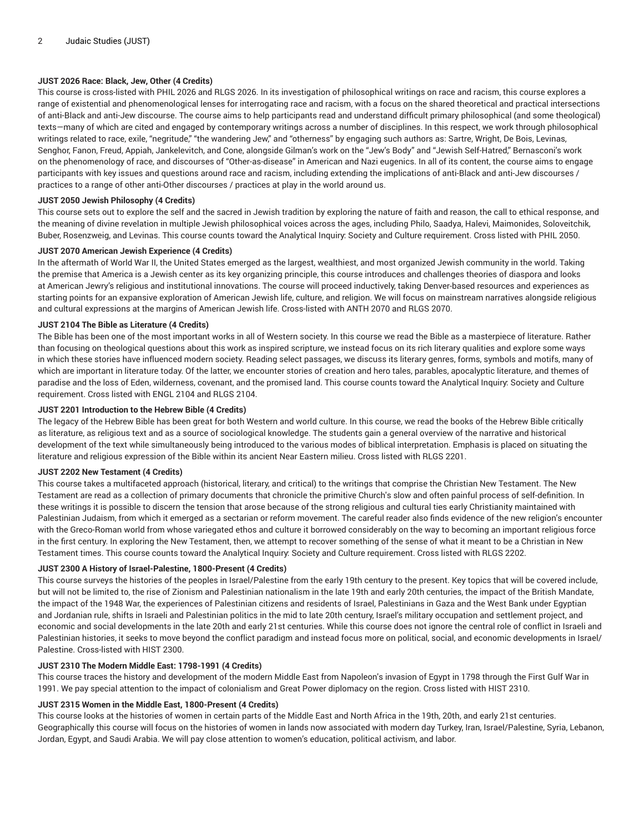## **JUST 2026 Race: Black, Jew, Other (4 Credits)**

This course is cross-listed with PHIL 2026 and RLGS 2026. In its investigation of philosophical writings on race and racism, this course explores a range of existential and phenomenological lenses for interrogating race and racism, with a focus on the shared theoretical and practical intersections of anti-Black and anti-Jew discourse. The course aims to help participants read and understand difficult primary philosophical (and some theological) texts—many of which are cited and engaged by contemporary writings across a number of disciplines. In this respect, we work through philosophical writings related to race, exile, "negritude," "the wandering Jew," and "otherness" by engaging such authors as: Sartre, Wright, De Bois, Levinas, Senghor, Fanon, Freud, Appiah, Jankelevitch, and Cone, alongside Gilman's work on the "Jew's Body" and "Jewish Self-Hatred," Bernasconi's work on the phenomenology of race, and discourses of "Other-as-disease" in American and Nazi eugenics. In all of its content, the course aims to engage participants with key issues and questions around race and racism, including extending the implications of anti-Black and anti-Jew discourses / practices to a range of other anti-Other discourses / practices at play in the world around us.

#### **JUST 2050 Jewish Philosophy (4 Credits)**

This course sets out to explore the self and the sacred in Jewish tradition by exploring the nature of faith and reason, the call to ethical response, and the meaning of divine revelation in multiple Jewish philosophical voices across the ages, including Philo, Saadya, Halevi, Maimonides, Soloveitchik, Buber, Rosenzweig, and Levinas. This course counts toward the Analytical Inquiry: Society and Culture requirement. Cross listed with PHIL 2050.

#### **JUST 2070 American Jewish Experience (4 Credits)**

In the aftermath of World War II, the United States emerged as the largest, wealthiest, and most organized Jewish community in the world. Taking the premise that America is a Jewish center as its key organizing principle, this course introduces and challenges theories of diaspora and looks at American Jewry's religious and institutional innovations. The course will proceed inductively, taking Denver-based resources and experiences as starting points for an expansive exploration of American Jewish life, culture, and religion. We will focus on mainstream narratives alongside religious and cultural expressions at the margins of American Jewish life. Cross-listed with ANTH 2070 and RLGS 2070.

## **JUST 2104 The Bible as Literature (4 Credits)**

The Bible has been one of the most important works in all of Western society. In this course we read the Bible as a masterpiece of literature. Rather than focusing on theological questions about this work as inspired scripture, we instead focus on its rich literary qualities and explore some ways in which these stories have influenced modern society. Reading select passages, we discuss its literary genres, forms, symbols and motifs, many of which are important in literature today. Of the latter, we encounter stories of creation and hero tales, parables, apocalyptic literature, and themes of paradise and the loss of Eden, wilderness, covenant, and the promised land. This course counts toward the Analytical Inquiry: Society and Culture requirement. Cross listed with ENGL 2104 and RLGS 2104.

#### **JUST 2201 Introduction to the Hebrew Bible (4 Credits)**

The legacy of the Hebrew Bible has been great for both Western and world culture. In this course, we read the books of the Hebrew Bible critically as literature, as religious text and as a source of sociological knowledge. The students gain a general overview of the narrative and historical development of the text while simultaneously being introduced to the various modes of biblical interpretation. Emphasis is placed on situating the literature and religious expression of the Bible within its ancient Near Eastern milieu. Cross listed with RLGS 2201.

#### **JUST 2202 New Testament (4 Credits)**

This course takes a multifaceted approach (historical, literary, and critical) to the writings that comprise the Christian New Testament. The New Testament are read as a collection of primary documents that chronicle the primitive Church's slow and often painful process of self-definition. In these writings it is possible to discern the tension that arose because of the strong religious and cultural ties early Christianity maintained with Palestinian Judaism, from which it emerged as a sectarian or reform movement. The careful reader also finds evidence of the new religion's encounter with the Greco-Roman world from whose variegated ethos and culture it borrowed considerably on the way to becoming an important religious force in the first century. In exploring the New Testament, then, we attempt to recover something of the sense of what it meant to be a Christian in New Testament times. This course counts toward the Analytical Inquiry: Society and Culture requirement. Cross listed with RLGS 2202.

#### **JUST 2300 A History of Israel-Palestine, 1800-Present (4 Credits)**

This course surveys the histories of the peoples in Israel/Palestine from the early 19th century to the present. Key topics that will be covered include, but will not be limited to, the rise of Zionism and Palestinian nationalism in the late 19th and early 20th centuries, the impact of the British Mandate, the impact of the 1948 War, the experiences of Palestinian citizens and residents of Israel, Palestinians in Gaza and the West Bank under Egyptian and Jordanian rule, shifts in Israeli and Palestinian politics in the mid to late 20th century, Israel's military occupation and settlement project, and economic and social developments in the late 20th and early 21st centuries. While this course does not ignore the central role of conflict in Israeli and Palestinian histories, it seeks to move beyond the conflict paradigm and instead focus more on political, social, and economic developments in Israel/ Palestine. Cross-listed with HIST 2300.

#### **JUST 2310 The Modern Middle East: 1798-1991 (4 Credits)**

This course traces the history and development of the modern Middle East from Napoleon's invasion of Egypt in 1798 through the First Gulf War in 1991. We pay special attention to the impact of colonialism and Great Power diplomacy on the region. Cross listed with HIST 2310.

## **JUST 2315 Women in the Middle East, 1800-Present (4 Credits)**

This course looks at the histories of women in certain parts of the Middle East and North Africa in the 19th, 20th, and early 21st centuries. Geographically this course will focus on the histories of women in lands now associated with modern day Turkey, Iran, Israel/Palestine, Syria, Lebanon, Jordan, Egypt, and Saudi Arabia. We will pay close attention to women's education, political activism, and labor.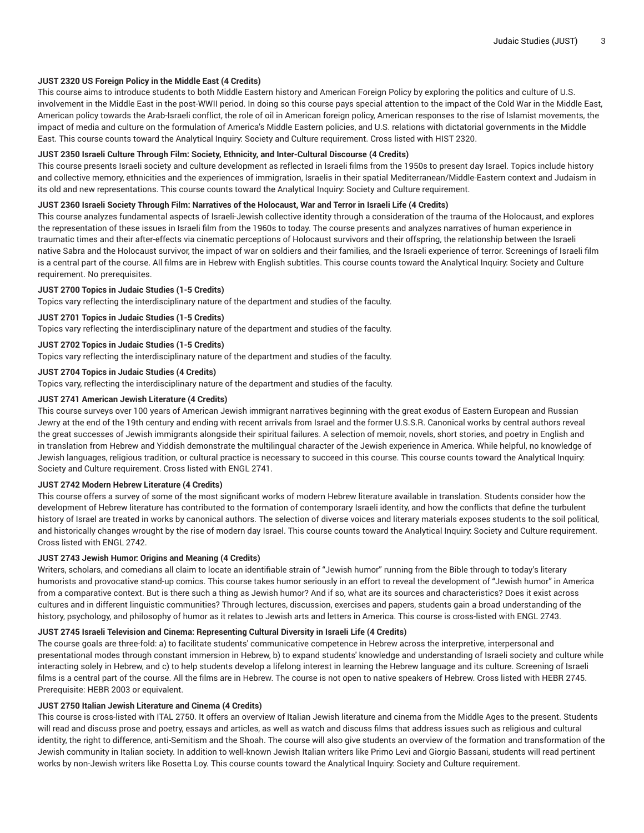## **JUST 2320 US Foreign Policy in the Middle East (4 Credits)**

This course aims to introduce students to both Middle Eastern history and American Foreign Policy by exploring the politics and culture of U.S. involvement in the Middle East in the post-WWII period. In doing so this course pays special attention to the impact of the Cold War in the Middle East, American policy towards the Arab-Israeli conflict, the role of oil in American foreign policy, American responses to the rise of Islamist movements, the impact of media and culture on the formulation of America's Middle Eastern policies, and U.S. relations with dictatorial governments in the Middle East. This course counts toward the Analytical Inquiry: Society and Culture requirement. Cross listed with HIST 2320.

#### **JUST 2350 Israeli Culture Through Film: Society, Ethnicity, and Inter-Cultural Discourse (4 Credits)**

This course presents Israeli society and culture development as reflected in Israeli films from the 1950s to present day Israel. Topics include history and collective memory, ethnicities and the experiences of immigration, Israelis in their spatial Mediterranean/Middle-Eastern context and Judaism in its old and new representations. This course counts toward the Analytical Inquiry: Society and Culture requirement.

#### JUST 2360 Israeli Society Through Film: Narratives of the Holocaust, War and Terror in Israeli Life (4 Credits)

This course analyzes fundamental aspects of Israeli-Jewish collective identity through a consideration of the trauma of the Holocaust, and explores the representation of these issues in Israeli film from the 1960s to today. The course presents and analyzes narratives of human experience in traumatic times and their after-effects via cinematic perceptions of Holocaust survivors and their offspring, the relationship between the Israeli native Sabra and the Holocaust survivor, the impact of war on soldiers and their families, and the Israeli experience of terror. Screenings of Israeli film is a central part of the course. All films are in Hebrew with English subtitles. This course counts toward the Analytical Inquiry: Society and Culture requirement. No prerequisites.

#### **JUST 2700 Topics in Judaic Studies (1-5 Credits)**

Topics vary reflecting the interdisciplinary nature of the department and studies of the faculty.

## **JUST 2701 Topics in Judaic Studies (1-5 Credits)**

Topics vary reflecting the interdisciplinary nature of the department and studies of the faculty.

## **JUST 2702 Topics in Judaic Studies (1-5 Credits)**

Topics vary reflecting the interdisciplinary nature of the department and studies of the faculty.

## **JUST 2704 Topics in Judaic Studies (4 Credits)**

Topics vary, reflecting the interdisciplinary nature of the department and studies of the faculty.

#### **JUST 2741 American Jewish Literature (4 Credits)**

This course surveys over 100 years of American Jewish immigrant narratives beginning with the great exodus of Eastern European and Russian Jewry at the end of the 19th century and ending with recent arrivals from Israel and the former U.S.S.R. Canonical works by central authors reveal the great successes of Jewish immigrants alongside their spiritual failures. A selection of memoir, novels, short stories, and poetry in English and in translation from Hebrew and Yiddish demonstrate the multilingual character of the Jewish experience in America. While helpful, no knowledge of Jewish languages, religious tradition, or cultural practice is necessary to succeed in this course. This course counts toward the Analytical Inquiry: Society and Culture requirement. Cross listed with ENGL 2741.

## **JUST 2742 Modern Hebrew Literature (4 Credits)**

This course offers a survey of some of the most significant works of modern Hebrew literature available in translation. Students consider how the development of Hebrew literature has contributed to the formation of contemporary Israeli identity, and how the conflicts that define the turbulent history of Israel are treated in works by canonical authors. The selection of diverse voices and literary materials exposes students to the soil political, and historically changes wrought by the rise of modern day Israel. This course counts toward the Analytical Inquiry: Society and Culture requirement. Cross listed with ENGL 2742.

#### **JUST 2743 Jewish Humor: Origins and Meaning (4 Credits)**

Writers, scholars, and comedians all claim to locate an identifiable strain of "Jewish humor" running from the Bible through to today's literary humorists and provocative stand-up comics. This course takes humor seriously in an effort to reveal the development of "Jewish humor" in America from a comparative context. But is there such a thing as Jewish humor? And if so, what are its sources and characteristics? Does it exist across cultures and in different linguistic communities? Through lectures, discussion, exercises and papers, students gain a broad understanding of the history, psychology, and philosophy of humor as it relates to Jewish arts and letters in America. This course is cross-listed with ENGL 2743.

#### **JUST 2745 Israeli Television and Cinema: Representing Cultural Diversity in Israeli Life (4 Credits)**

The course goals are three-fold: a) to facilitate students' communicative competence in Hebrew across the interpretive, interpersonal and presentational modes through constant immersion in Hebrew, b) to expand students' knowledge and understanding of Israeli society and culture while interacting solely in Hebrew, and c) to help students develop a lifelong interest in learning the Hebrew language and its culture. Screening of Israeli films is a central part of the course. All the films are in Hebrew. The course is not open to native speakers of Hebrew. Cross listed with HEBR 2745. Prerequisite: HEBR 2003 or equivalent.

## **JUST 2750 Italian Jewish Literature and Cinema (4 Credits)**

This course is cross-listed with ITAL 2750. It offers an overview of Italian Jewish literature and cinema from the Middle Ages to the present. Students will read and discuss prose and poetry, essays and articles, as well as watch and discuss films that address issues such as religious and cultural identity, the right to difference, anti-Semitism and the Shoah. The course will also give students an overview of the formation and transformation of the Jewish community in Italian society. In addition to well-known Jewish Italian writers like Primo Levi and Giorgio Bassani, students will read pertinent works by non-Jewish writers like Rosetta Loy. This course counts toward the Analytical Inquiry: Society and Culture requirement.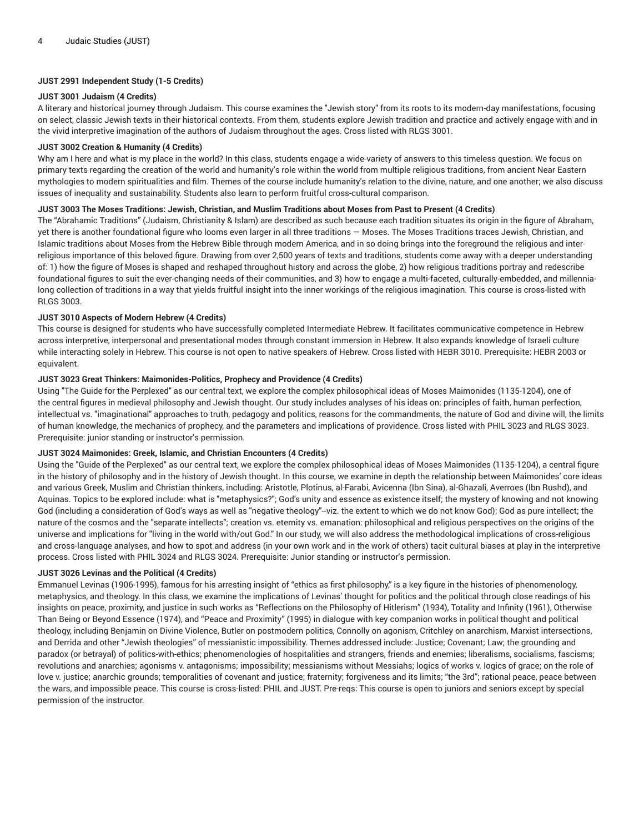## **JUST 2991 Independent Study (1-5 Credits)**

#### **JUST 3001 Judaism (4 Credits)**

A literary and historical journey through Judaism. This course examines the "Jewish story" from its roots to its modern-day manifestations, focusing on select, classic Jewish texts in their historical contexts. From them, students explore Jewish tradition and practice and actively engage with and in the vivid interpretive imagination of the authors of Judaism throughout the ages. Cross listed with RLGS 3001.

#### **JUST 3002 Creation & Humanity (4 Credits)**

Why am I here and what is my place in the world? In this class, students engage a wide-variety of answers to this timeless question. We focus on primary texts regarding the creation of the world and humanity's role within the world from multiple religious traditions, from ancient Near Eastern mythologies to modern spiritualities and film. Themes of the course include humanity's relation to the divine, nature, and one another; we also discuss issues of inequality and sustainability. Students also learn to perform fruitful cross-cultural comparison.

## JUST 3003 The Moses Traditions: Jewish, Christian, and Muslim Traditions about Moses from Past to Present (4 Credits)

The "Abrahamic Traditions" (Judaism, Christianity & Islam) are described as such because each tradition situates its origin in the figure of Abraham, yet there is another foundational figure who looms even larger in all three traditions — Moses. The Moses Traditions traces Jewish, Christian, and Islamic traditions about Moses from the Hebrew Bible through modern America, and in so doing brings into the foreground the religious and interreligious importance of this beloved figure. Drawing from over 2,500 years of texts and traditions, students come away with a deeper understanding of: 1) how the figure of Moses is shaped and reshaped throughout history and across the globe, 2) how religious traditions portray and redescribe foundational figures to suit the ever-changing needs of their communities, and 3) how to engage a multi-faceted, culturally-embedded, and millennialong collection of traditions in a way that yields fruitful insight into the inner workings of the religious imagination. This course is cross-listed with RLGS 3003.

## **JUST 3010 Aspects of Modern Hebrew (4 Credits)**

This course is designed for students who have successfully completed Intermediate Hebrew. It facilitates communicative competence in Hebrew across interpretive, interpersonal and presentational modes through constant immersion in Hebrew. It also expands knowledge of Israeli culture while interacting solely in Hebrew. This course is not open to native speakers of Hebrew. Cross listed with HEBR 3010. Prerequisite: HEBR 2003 or equivalent.

#### **JUST 3023 Great Thinkers: Maimonides-Politics, Prophecy and Providence (4 Credits)**

Using "The Guide for the Perplexed" as our central text, we explore the complex philosophical ideas of Moses Maimonides (1135-1204), one of the central figures in medieval philosophy and Jewish thought. Our study includes analyses of his ideas on: principles of faith, human perfection, intellectual vs. "imaginational" approaches to truth, pedagogy and politics, reasons for the commandments, the nature of God and divine will, the limits of human knowledge, the mechanics of prophecy, and the parameters and implications of providence. Cross listed with PHIL 3023 and RLGS 3023. Prerequisite: junior standing or instructor's permission.

## **JUST 3024 Maimonides: Greek, Islamic, and Christian Encounters (4 Credits)**

Using the "Guide of the Perplexed" as our central text, we explore the complex philosophical ideas of Moses Maimonides (1135-1204), a central figure in the history of philosophy and in the history of Jewish thought. In this course, we examine in depth the relationship between Maimonides' core ideas and various Greek, Muslim and Christian thinkers, including: Aristotle, Plotinus, al-Farabi, Avicenna (Ibn Sina), al-Ghazali, Averroes (Ibn Rushd), and Aquinas. Topics to be explored include: what is "metaphysics?"; God's unity and essence as existence itself; the mystery of knowing and not knowing God (including a consideration of God's ways as well as "negative theology"--viz. the extent to which we do not know God); God as pure intellect; the nature of the cosmos and the "separate intellects"; creation vs. eternity vs. emanation: philosophical and religious perspectives on the origins of the universe and implications for "living in the world with/out God." In our study, we will also address the methodological implications of cross-religious and cross-language analyses, and how to spot and address (in your own work and in the work of others) tacit cultural biases at play in the interpretive process. Cross listed with PHIL 3024 and RLGS 3024. Prerequisite: Junior standing or instructor's permission.

## **JUST 3026 Levinas and the Political (4 Credits)**

Emmanuel Levinas (1906-1995), famous for his arresting insight of "ethics as first philosophy," is a key figure in the histories of phenomenology, metaphysics, and theology. In this class, we examine the implications of Levinas' thought for politics and the political through close readings of his insights on peace, proximity, and justice in such works as "Reflections on the Philosophy of Hitlerism" (1934), Totality and Infinity (1961), Otherwise Than Being or Beyond Essence (1974), and "Peace and Proximity" (1995) in dialogue with key companion works in political thought and political theology, including Benjamin on Divine Violence, Butler on postmodern politics, Connolly on agonism, Critchley on anarchism, Marxist intersections, and Derrida and other "Jewish theologies" of messianistic impossibility. Themes addressed include: Justice; Covenant; Law; the grounding and paradox (or betrayal) of politics-with-ethics; phenomenologies of hospitalities and strangers, friends and enemies; liberalisms, socialisms, fascisms; revolutions and anarchies; agonisms v. antagonisms; impossibility; messianisms without Messiahs; logics of works v. logics of grace; on the role of love v. justice; anarchic grounds; temporalities of covenant and justice; fraternity; forgiveness and its limits; "the 3rd"; rational peace, peace between the wars, and impossible peace. This course is cross-listed: PHIL and JUST. Pre-reqs: This course is open to juniors and seniors except by special permission of the instructor.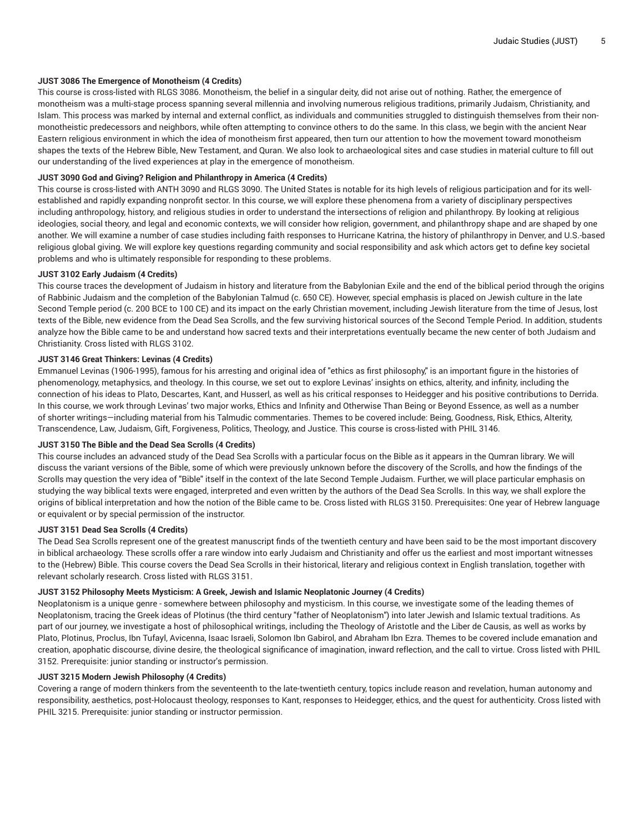#### **JUST 3086 The Emergence of Monotheism (4 Credits)**

This course is cross-listed with RLGS 3086. Monotheism, the belief in a singular deity, did not arise out of nothing. Rather, the emergence of monotheism was a multi-stage process spanning several millennia and involving numerous religious traditions, primarily Judaism, Christianity, and Islam. This process was marked by internal and external conflict, as individuals and communities struggled to distinguish themselves from their nonmonotheistic predecessors and neighbors, while often attempting to convince others to do the same. In this class, we begin with the ancient Near Eastern religious environment in which the idea of monotheism first appeared, then turn our attention to how the movement toward monotheism shapes the texts of the Hebrew Bible, New Testament, and Quran. We also look to archaeological sites and case studies in material culture to fill out our understanding of the lived experiences at play in the emergence of monotheism.

#### **JUST 3090 God and Giving? Religion and Philanthropy in America (4 Credits)**

This course is cross-listed with ANTH 3090 and RLGS 3090. The United States is notable for its high levels of religious participation and for its wellestablished and rapidly expanding nonprofit sector. In this course, we will explore these phenomena from a variety of disciplinary perspectives including anthropology, history, and religious studies in order to understand the intersections of religion and philanthropy. By looking at religious ideologies, social theory, and legal and economic contexts, we will consider how religion, government, and philanthropy shape and are shaped by one another. We will examine a number of case studies including faith responses to Hurricane Katrina, the history of philanthropy in Denver, and U.S.-based religious global giving. We will explore key questions regarding community and social responsibility and ask which actors get to define key societal problems and who is ultimately responsible for responding to these problems.

#### **JUST 3102 Early Judaism (4 Credits)**

This course traces the development of Judaism in history and literature from the Babylonian Exile and the end of the biblical period through the origins of Rabbinic Judaism and the completion of the Babylonian Talmud (c. 650 CE). However, special emphasis is placed on Jewish culture in the late Second Temple period (c. 200 BCE to 100 CE) and its impact on the early Christian movement, including Jewish literature from the time of Jesus, lost texts of the Bible, new evidence from the Dead Sea Scrolls, and the few surviving historical sources of the Second Temple Period. In addition, students analyze how the Bible came to be and understand how sacred texts and their interpretations eventually became the new center of both Judaism and Christianity. Cross listed with RLGS 3102.

#### **JUST 3146 Great Thinkers: Levinas (4 Credits)**

Emmanuel Levinas (1906-1995), famous for his arresting and original idea of "ethics as first philosophy," is an important figure in the histories of phenomenology, metaphysics, and theology. In this course, we set out to explore Levinas' insights on ethics, alterity, and infinity, including the connection of his ideas to Plato, Descartes, Kant, and Husserl, as well as his critical responses to Heidegger and his positive contributions to Derrida. In this course, we work through Levinas' two major works, Ethics and Infinity and Otherwise Than Being or Beyond Essence, as well as a number of shorter writings—including material from his Talmudic commentaries. Themes to be covered include: Being, Goodness, Risk, Ethics, Alterity, Transcendence, Law, Judaism, Gift, Forgiveness, Politics, Theology, and Justice. This course is cross-listed with PHIL 3146.

## **JUST 3150 The Bible and the Dead Sea Scrolls (4 Credits)**

This course includes an advanced study of the Dead Sea Scrolls with a particular focus on the Bible as it appears in the Qumran library. We will discuss the variant versions of the Bible, some of which were previously unknown before the discovery of the Scrolls, and how the findings of the Scrolls may question the very idea of "Bible" itself in the context of the late Second Temple Judaism. Further, we will place particular emphasis on studying the way biblical texts were engaged, interpreted and even written by the authors of the Dead Sea Scrolls. In this way, we shall explore the origins of biblical interpretation and how the notion of the Bible came to be. Cross listed with RLGS 3150. Prerequisites: One year of Hebrew language or equivalent or by special permission of the instructor.

#### **JUST 3151 Dead Sea Scrolls (4 Credits)**

The Dead Sea Scrolls represent one of the greatest manuscript finds of the twentieth century and have been said to be the most important discovery in biblical archaeology. These scrolls offer a rare window into early Judaism and Christianity and offer us the earliest and most important witnesses to the (Hebrew) Bible. This course covers the Dead Sea Scrolls in their historical, literary and religious context in English translation, together with relevant scholarly research. Cross listed with RLGS 3151.

#### **JUST 3152 Philosophy Meets Mysticism: A Greek, Jewish and Islamic Neoplatonic Journey (4 Credits)**

Neoplatonism is a unique genre - somewhere between philosophy and mysticism. In this course, we investigate some of the leading themes of Neoplatonism, tracing the Greek ideas of Plotinus (the third century "father of Neoplatonism") into later Jewish and Islamic textual traditions. As part of our journey, we investigate a host of philosophical writings, including the Theology of Aristotle and the Liber de Causis, as well as works by Plato, Plotinus, Proclus, Ibn Tufayl, Avicenna, Isaac Israeli, Solomon Ibn Gabirol, and Abraham Ibn Ezra. Themes to be covered include emanation and creation, apophatic discourse, divine desire, the theological significance of imagination, inward reflection, and the call to virtue. Cross listed with PHIL 3152. Prerequisite: junior standing or instructor's permission.

## **JUST 3215 Modern Jewish Philosophy (4 Credits)**

Covering a range of modern thinkers from the seventeenth to the late-twentieth century, topics include reason and revelation, human autonomy and responsibility, aesthetics, post-Holocaust theology, responses to Kant, responses to Heidegger, ethics, and the quest for authenticity. Cross listed with PHIL 3215. Prerequisite: junior standing or instructor permission.